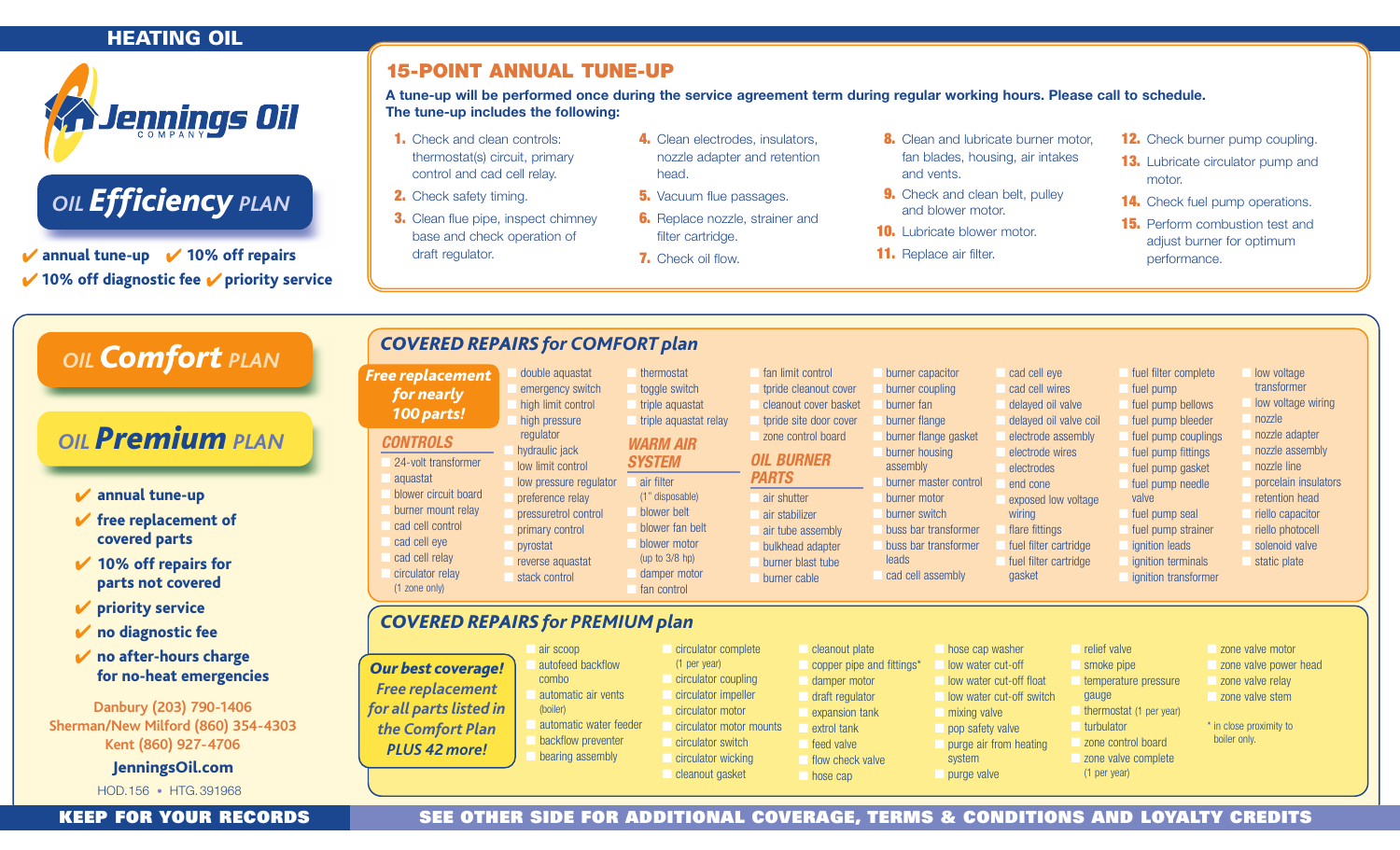## **HEATING OIL**



# *OIL Efficiency PLAN*

 $\sqrt{\ }$  annual tune-up  $\sqrt{\ }$  10% off repairs  $\vee$  10% off diagnostic fee  $\vee$  priority service

# **15-POINT ANNUAL TUNE-UP**

**A tune-up will be performed once during the service agreement term during regular working hours. Please call to schedule. The tune-up includes the following:**

- **1.** Check and clean controls: thermostat(s) circuit, primary control and cad cell relay.
- **2.** Check safety timing.
- **3.** Clean flue pipe, inspect chimney base and check operation of draft regulator.
- **4.** Clean electrodes, insulators, nozzle adapter and retention head.
- **5.** Vacuum flue passages.
- **6.** Replace nozzle, strainer and filter cartridge.
- **7.** Check oil flow.
- **8.** Clean and lubricate burner motor, fan blades, housing, air intakes and vents.
- **9.** Check and clean belt, pulley and blower motor.
- **10.** Lubricate blower motor.
- **11.** Replace air filter.
- **12.** Check burner pump coupling.
- **13.** Lubricate circulator pump and motor.
- **14.** Check fuel pump operations.
- **15.** Perform combustion test and adjust burner for optimum performance.

| OIL <b>Comfort</b> PLAN<br><b>OIL Premium</b> PLAN<br>$\blacktriangleright$ annual tune-up<br>$\blacktriangleright$ free replacement of<br>covered parts                                             | <b>COVERED REPAIRS for COMFORT plan</b><br><b>Free replacement</b><br>for nearly<br>100 parts!<br><b>CONTROLS</b><br>24-volt transformer<br>aquastat<br>blower circuit board<br>burner mount relay<br>cad cell control<br>cad cell eye<br>cad cell relay | double aquastat<br>emergency switch<br>high limit control<br>high pressure<br>regulator<br>hydraulic jack<br>low limit control<br>low pressure regulator<br>preference relay<br>pressuretrol control<br>primary control<br>pvrostat<br>reverse aquastat | thermostat<br>toggle switch<br>triple aquastat<br>triple aquastat relay<br><b>WARM AIR</b><br><b>SYSTEM</b><br>air filter<br>(1" disposable)<br>blower belt<br>blower fan belt<br>blower motor<br>(up to $3/8$ hp) | fan limit control<br>tpride cleanout cover<br>cleanout cover basket<br>tpride site door cover<br>zone control board<br><b>OIL BURNER</b><br><b>PARTS</b><br>air shutter<br>air stabilizer<br>air tube assembly<br>bulkhead adapter<br>burner blast tube | burner capacitor<br>burner coupling<br>burner fan<br>burner flange<br>burner flange gasket<br>burner housing<br>assembly<br>burner master control<br>burner motor<br>burner switch<br>buss bar transformer<br>buss bar transformer<br>leads | electrodes<br>end cone<br>wiring                                                                                                                                                   | cad cell eye<br>cad cell wires<br>delayed oil valve<br>delayed oil valve coil<br>electrode assembly<br>electrode wires<br>exposed low voltage<br>flare fittings<br>fuel filter cartridge<br>fuel filter cartridge | fuel filter complete<br>fuel pump<br>fuel pump bellows<br>fuel pump bleeder<br>fuel pump couplings<br>fuel pump fittings<br>fuel pump gasket<br>fuel pump needle<br>valve<br>fuel pump seal<br>fuel pump strainer<br><i>ignition</i> leads<br>ignition terminals | low voltage<br>transformer<br>low voltage wiring<br>nozzle<br>nozzle adapter<br>nozzle assembly<br>nozzle line<br>porcelain insulators<br>retention head<br>riello capacitor<br>riello photocell<br>solenoid valve<br>static plate |  |
|------------------------------------------------------------------------------------------------------------------------------------------------------------------------------------------------------|----------------------------------------------------------------------------------------------------------------------------------------------------------------------------------------------------------------------------------------------------------|---------------------------------------------------------------------------------------------------------------------------------------------------------------------------------------------------------------------------------------------------------|--------------------------------------------------------------------------------------------------------------------------------------------------------------------------------------------------------------------|---------------------------------------------------------------------------------------------------------------------------------------------------------------------------------------------------------------------------------------------------------|---------------------------------------------------------------------------------------------------------------------------------------------------------------------------------------------------------------------------------------------|------------------------------------------------------------------------------------------------------------------------------------------------------------------------------------|-------------------------------------------------------------------------------------------------------------------------------------------------------------------------------------------------------------------|------------------------------------------------------------------------------------------------------------------------------------------------------------------------------------------------------------------------------------------------------------------|------------------------------------------------------------------------------------------------------------------------------------------------------------------------------------------------------------------------------------|--|
| $\vee$ 10% off repairs for<br>parts not covered<br>$\vee$ priority service                                                                                                                           | circulator relay<br>$(1$ zone only)                                                                                                                                                                                                                      | stack control                                                                                                                                                                                                                                           | damper motor<br>fan control                                                                                                                                                                                        | burner cable                                                                                                                                                                                                                                            | cad cell assembly                                                                                                                                                                                                                           | gasket                                                                                                                                                                             |                                                                                                                                                                                                                   | ignition transformer                                                                                                                                                                                                                                             |                                                                                                                                                                                                                                    |  |
| <b>COVERED REPAIRS for PREMIUM plan</b><br>$\vee$ no diagnostic fee                                                                                                                                  |                                                                                                                                                                                                                                                          |                                                                                                                                                                                                                                                         |                                                                                                                                                                                                                    |                                                                                                                                                                                                                                                         |                                                                                                                                                                                                                                             |                                                                                                                                                                                    |                                                                                                                                                                                                                   |                                                                                                                                                                                                                                                                  |                                                                                                                                                                                                                                    |  |
| $\mathbf{\nabla}$ no after-hours charge<br>for no-heat emergencies<br>Danbury (203) 790-1406<br>Sherman/New Milford (860) 354-4303<br>Kent (860) 927-4706<br>JenningsOil.com<br>HOD.156 • HTG.391968 | <b>Our best coverage!</b><br><b>Free replacement</b><br>for all parts listed in<br>the Comfort Plan<br><b>PLUS 42 more!</b>                                                                                                                              | air scoop<br>autofeed backflow<br>combo<br>automatic air vents<br>(boiler)<br>automatic water feeder<br>backflow preventer<br>bearing assembly                                                                                                          | circulator complete<br>(1 per year)<br>circulator coupling<br>circulator impeller<br>circulator motor<br>circulator motor mounts<br>circulator switch<br>circulator wicking<br>cleanout gasket                     | cleanout plate<br>damper motor<br>draft regulator<br>extrol tank<br>feed valve<br>hose cap                                                                                                                                                              | copper pipe and fittings*<br>expansion tank<br>flow check valve                                                                                                                                                                             | hose cap washer<br>low water cut-off<br>low water cut-off float<br>low water cut-off switch<br>mixing valve<br>pop safety valve<br>purge air from heating<br>system<br>purge valve | relief valve<br>smoke pipe<br>qauge<br>turbulator<br>(1 per year)                                                                                                                                                 | temperature pressure<br>thermostat (1 per year)<br>zone control board<br>zone valve complete                                                                                                                                                                     | zone valve motor<br>zone valve power head<br>zone valve relay<br>zone valve stem<br>* in close proximity to<br>boiler only.                                                                                                        |  |

#### **KEEP FOR YOUR RECORDS SEE OTHER SIDE FOR ADDITIONAL COVERAGE, TERMS & CONDITIONS AND LOYALTY CREDITS**